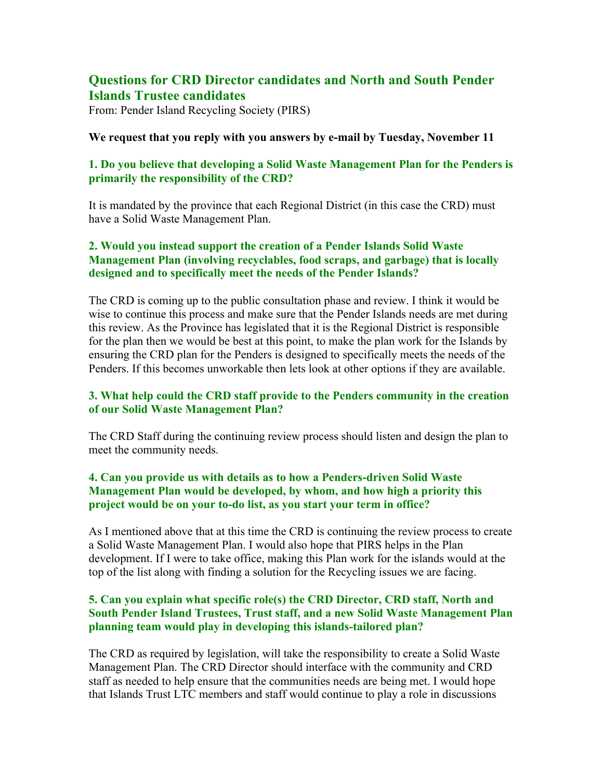# **Questions for CRD Director candidates and North and South Pender Islands Trustee candidates**

From: Pender Island Recycling Society (PIRS)

#### **We request that you reply with you answers by e-mail by Tuesday, November 11**

## **1. Do you believe that developing a Solid Waste Management Plan for the Penders is primarily the responsibility of the CRD?**

It is mandated by the province that each Regional District (in this case the CRD) must have a Solid Waste Management Plan.

## **2. Would you instead support the creation of a Pender Islands Solid Waste Management Plan (involving recyclables, food scraps, and garbage) that is locally designed and to specifically meet the needs of the Pender Islands?**

The CRD is coming up to the public consultation phase and review. I think it would be wise to continue this process and make sure that the Pender Islands needs are met during this review. As the Province has legislated that it is the Regional District is responsible for the plan then we would be best at this point, to make the plan work for the Islands by ensuring the CRD plan for the Penders is designed to specifically meets the needs of the Penders. If this becomes unworkable then lets look at other options if they are available.

#### **3. What help could the CRD staff provide to the Penders community in the creation of our Solid Waste Management Plan?**

The CRD Staff during the continuing review process should listen and design the plan to meet the community needs.

## **4. Can you provide us with details as to how a Penders-driven Solid Waste Management Plan would be developed, by whom, and how high a priority this project would be on your to-do list, as you start your term in office?**

As I mentioned above that at this time the CRD is continuing the review process to create a Solid Waste Management Plan. I would also hope that PIRS helps in the Plan development. If I were to take office, making this Plan work for the islands would at the top of the list along with finding a solution for the Recycling issues we are facing.

#### **5. Can you explain what specific role(s) the CRD Director, CRD staff, North and South Pender Island Trustees, Trust staff, and a new Solid Waste Management Plan planning team would play in developing this islands-tailored plan?**

The CRD as required by legislation, will take the responsibility to create a Solid Waste Management Plan. The CRD Director should interface with the community and CRD staff as needed to help ensure that the communities needs are being met. I would hope that Islands Trust LTC members and staff would continue to play a role in discussions